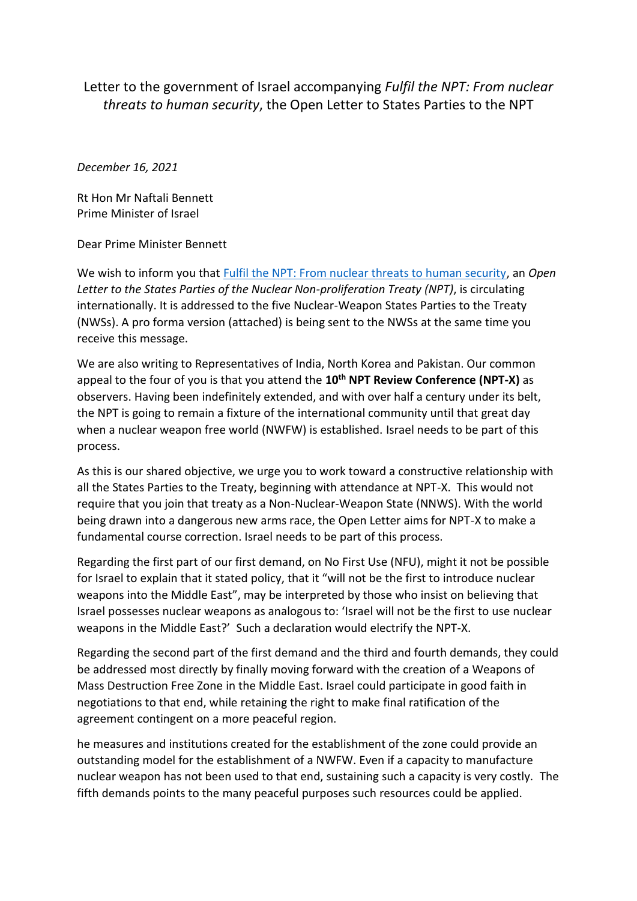Letter to the government of Israel accompanying *Fulfil the NPT: From nuclear threats to human security*, the Open Letter to States Parties to the NPT

*December 16, 2021*

Rt Hon Mr Naftali Bennett Prime Minister of Israel

Dear Prime Minister Bennett

We wish to inform you that [Fulfil the NPT: From nuclear threats to human security,](https://nofirstuse.global/fulfil-the-npt-from-nuclear-threats-to-human-security/) an *Open Letter to the States Parties of the Nuclear Non-proliferation Treaty (NPT)*, is circulating internationally. It is addressed to the five Nuclear-Weapon States Parties to the Treaty (NWSs). A pro forma version (attached) is being sent to the NWSs at the same time you receive this message.

We are also writing to Representatives of India, North Korea and Pakistan. Our common appeal to the four of you is that you attend the **10th NPT Review Conference (NPT-X)** as observers. Having been indefinitely extended, and with over half a century under its belt, the NPT is going to remain a fixture of the international community until that great day when a nuclear weapon free world (NWFW) is established. Israel needs to be part of this process.

As this is our shared objective, we urge you to work toward a constructive relationship with all the States Parties to the Treaty, beginning with attendance at NPT-X. This would not require that you join that treaty as a Non-Nuclear-Weapon State (NNWS). With the world being drawn into a dangerous new arms race, the Open Letter aims for NPT-X to make a fundamental course correction. Israel needs to be part of this process.

Regarding the first part of our first demand, on No First Use (NFU), might it not be possible for Israel to explain that it stated policy, that it "will not be the first to introduce nuclear weapons into the Middle East", may be interpreted by those who insist on believing that Israel possesses nuclear weapons as analogous to: 'Israel will not be the first to use nuclear weapons in the Middle East?' Such a declaration would electrify the NPT-X.

Regarding the second part of the first demand and the third and fourth demands, they could be addressed most directly by finally moving forward with the creation of a Weapons of Mass Destruction Free Zone in the Middle East. Israel could participate in good faith in negotiations to that end, while retaining the right to make final ratification of the agreement contingent on a more peaceful region.

he measures and institutions created for the establishment of the zone could provide an outstanding model for the establishment of a NWFW. Even if a capacity to manufacture nuclear weapon has not been used to that end, sustaining such a capacity is very costly. The fifth demands points to the many peaceful purposes such resources could be applied.